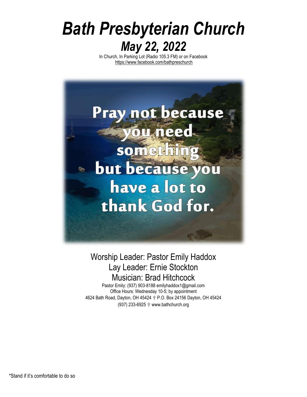# *Bath Presbyterian Church May 22, 2022*

In Church, In Parking Lot (Radio 105.3 FM) or on Facebook <https://www.facebook.com/bathpreschurch>



# Worship Leader: Pastor Emily Haddox Lay Leader: Ernie Stockton Musician: Brad Hitchcock

Pastor Emily: (937) 903-8188 emilyhaddox1@gmail.com Office Hours: Wednesday 10-5; by appointment 4624 Bath Road, Dayton, OH 45424 ✞ P.O. Box 24156 Dayton, OH 45424 (937) 233-6925 ✞ www.bathchurch.org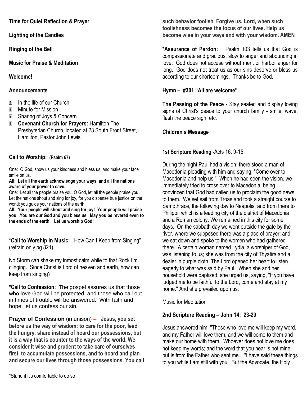**Time for Quiet Reflection & Prayer**

**Lighting of the Candles**

**Ringing of the Bell** 

**Music for Praise & Meditation**

**Welcome!**

#### **Announcements**

- ⮚ In the life of our Church
- ⮚ Minute for Mission
- **Ell** Sharing of Joys & Concern
- ⮚ **Covenant Church for Prayers:** Hamilton The Presbyterian Church, located at 23 South Front Street, Hamilton, Pastor John Lewis.

#### **Call to Worship: (Psalm 67)**

One: O God, show us your kindness and bless us, and make your face smile on us.

#### **All: Let all the earth acknowledge your ways, and all the nations aware of your power to save.**

One: Let all the people praise you, O God, let all the people praise you. Let the nations shout and sing for joy, for you dispense true justice on the world; you guide your nations of the earth.

**All: Your people will shout and sing for joy! Your people will praise you. You are our God and you bless us. May you be revered even to the ends of the earth. Let us worship God!**

**\*Call to Worship in Music:** "How Can I Keep from Singing" (refrain only pg 821)

No Storm can shake my inmost calm while to that Rock I'm clinging. Since Christ is Lord of heaven and earth, how can I keep from singing?

**\*Call to Confession:** The gospel assures us that those who love God will be protected, and those who call out in times of trouble will be answered. With faith and hope, let us confess our sin.

**Prayer of Confession** (in unison) **– Jesus, you set before us the way of wisdom: to care for the poor, feed the hungry, share instead of hoard our possessions, but it is a way that is counter to the ways of the world. We consider it wise and prudent to take care of ourselves first, to accumulate possessions, and to hoard and plan and secure our lives through those possessions. You call**  **\*Assurance of Pardon:** Psalm 103 tells us that God is compassionate and gracious, slow to anger and abounding in love. God does not accuse without merit or harbor anger for long. God does not treat us as our sins deserve or bless us according to our shortcomings. Thanks be to God.

#### **Hymn – #301 "All are welcome"**

**The Passing of the Peace -** Stay seated and display loving signs of Christ's peace to your church family - smile, wave, flash the peace sign, etc.

#### **Children's Message**

#### **1st Scripture Reading -**Acts 16: 9-15

During the night Paul had a vision: there stood a man of Macedonia pleading with him and saying, "Come over to Macedonia and help us." When he had seen the vision, we immediately tried to cross over to Macedonia, being convinced that God had called us to proclaim the good news to them. We set sail from Troas and took a straight course to Samothrace, the following day to Neapolis, and from there to Philippi, which is a leading city of the district of Macedonia and a Roman colony. We remained in this city for some days. On the sabbath day we went outside the gate by the river, where we supposed there was a place of prayer; and we sat down and spoke to the women who had gathered there. A certain woman named Lydia, a worshiper of God, was listening to us; she was from the city of Thyatira and a dealer in purple cloth. The Lord opened her heart to listen eagerly to what was said by Paul. When she and her household were baptized, she urged us, saying, "If you have judged me to be faithful to the Lord, come and stay at my home." And she prevailed upon us.

Music for Meditation

#### **2nd Scripture Reading – John 14: 23-29**

Jesus answered him, "Those who love me will keep my word, and my Father will love them, and we will come to them and make our home with them. Whoever does not love me does not keep my words; and the word that you hear is not mine, but is from the Father who sent me. "I have said these things to you while I am still with you. But the Advocate, the Holy